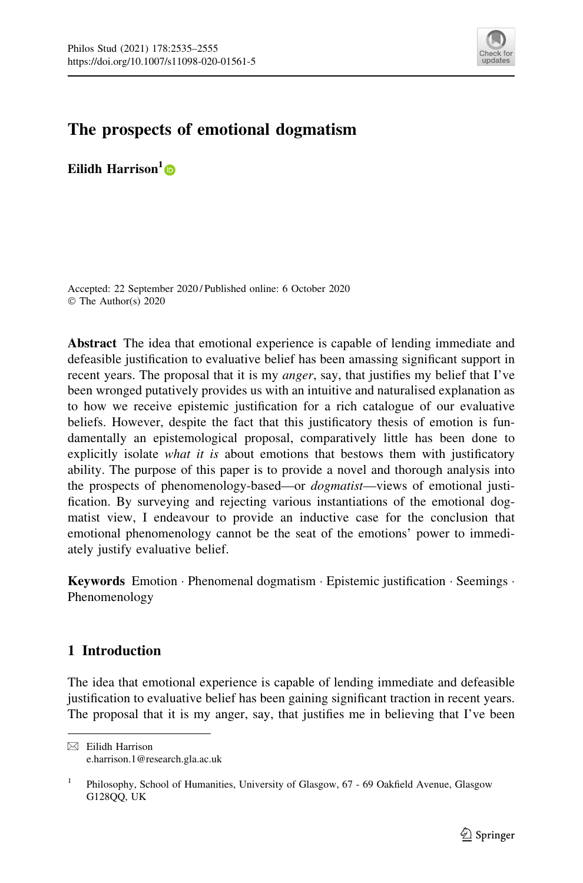

# The prospects of emotional dogmatism

Eilidh Harrison<sup>1</sup>

Accepted: 22 September 2020 / Published online: 6 October 2020 © The Author(s) 2020

Abstract The idea that emotional experience is capable of lending immediate and defeasible justification to evaluative belief has been amassing significant support in recent years. The proposal that it is my *anger*, say, that justifies my belief that I've been wronged putatively provides us with an intuitive and naturalised explanation as to how we receive epistemic justification for a rich catalogue of our evaluative beliefs. However, despite the fact that this justificatory thesis of emotion is fundamentally an epistemological proposal, comparatively little has been done to explicitly isolate *what it is* about emotions that bestows them with justificatory ability. The purpose of this paper is to provide a novel and thorough analysis into the prospects of phenomenology-based—or *dogmatist*—views of emotional justification. By surveying and rejecting various instantiations of the emotional dogmatist view, I endeavour to provide an inductive case for the conclusion that emotional phenomenology cannot be the seat of the emotions' power to immediately justify evaluative belief.

Keywords Emotion · Phenomenal dogmatism · Epistemic justification · Seemings · Phenomenology

## 1 Introduction

The idea that emotional experience is capable of lending immediate and defeasible justification to evaluative belief has been gaining significant traction in recent years. The proposal that it is my anger, say, that justifies me in believing that I've been

 $\boxtimes$  Eilidh Harrison e.harrison.1@research.gla.ac.uk

<sup>1</sup> Philosophy, School of Humanities, University of Glasgow, 67 - 69 Oakfield Avenue, Glasgow G128QQ, UK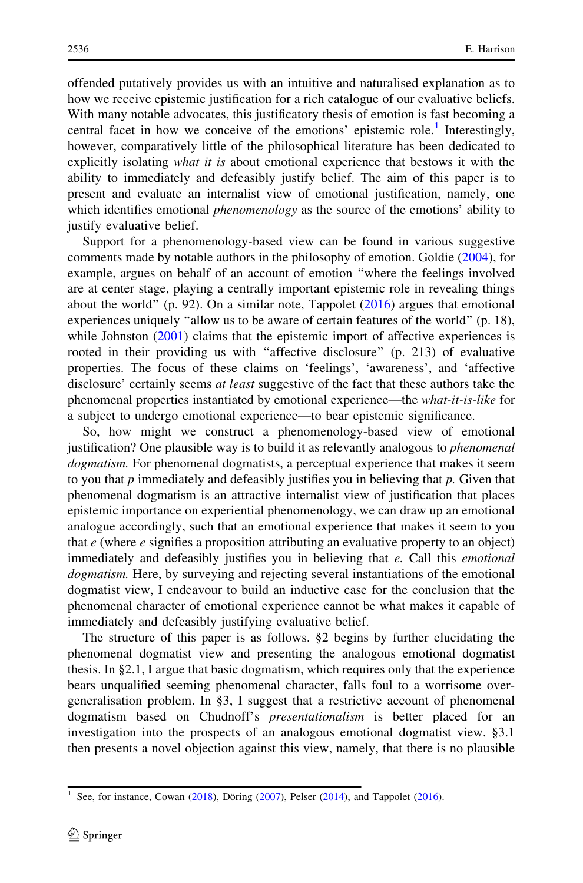offended putatively provides us with an intuitive and naturalised explanation as to how we receive epistemic justification for a rich catalogue of our evaluative beliefs. With many notable advocates, this justificatory thesis of emotion is fast becoming a central facet in how we conceive of the emotions' epistemic role.<sup>1</sup> Interestingly, however, comparatively little of the philosophical literature has been dedicated to explicitly isolating *what it is* about emotional experience that bestows it with the ability to immediately and defeasibly justify belief. The aim of this paper is to present and evaluate an internalist view of emotional justification, namely, one which identifies emotional *phenomenology* as the source of the emotions' ability to justify evaluative belief.

Support for a phenomenology-based view can be found in various suggestive comments made by notable authors in the philosophy of emotion. Goldie [\(2004](#page-20-0)), for example, argues on behalf of an account of emotion ''where the feelings involved are at center stage, playing a centrally important epistemic role in revealing things about the world'' (p. 92). On a similar note, Tappolet ([2016\)](#page-20-0) argues that emotional experiences uniquely "allow us to be aware of certain features of the world" (p. 18), while Johnston ([2001\)](#page-20-0) claims that the epistemic import of affective experiences is rooted in their providing us with ''affective disclosure'' (p. 213) of evaluative properties. The focus of these claims on 'feelings', 'awareness', and 'affective disclosure' certainly seems *at least* suggestive of the fact that these authors take the phenomenal properties instantiated by emotional experience—the what-it-is-like for a subject to undergo emotional experience—to bear epistemic significance.

So, how might we construct a phenomenology-based view of emotional justification? One plausible way is to build it as relevantly analogous to *phenomenal* dogmatism. For phenomenal dogmatists, a perceptual experience that makes it seem to you that  $p$  immediately and defeasibly justifies you in believing that  $p$ . Given that phenomenal dogmatism is an attractive internalist view of justification that places epistemic importance on experiential phenomenology, we can draw up an emotional analogue accordingly, such that an emotional experience that makes it seem to you that  $e$  (where  $e$  signifies a proposition attributing an evaluative property to an object) immediately and defeasibly justifies you in believing that e. Call this emotional dogmatism. Here, by surveying and rejecting several instantiations of the emotional dogmatist view, I endeavour to build an inductive case for the conclusion that the phenomenal character of emotional experience cannot be what makes it capable of immediately and defeasibly justifying evaluative belief.

The structure of this paper is as follows. §2 begins by further elucidating the phenomenal dogmatist view and presenting the analogous emotional dogmatist thesis. In §2.1, I argue that basic dogmatism, which requires only that the experience bears unqualified seeming phenomenal character, falls foul to a worrisome overgeneralisation problem. In §3, I suggest that a restrictive account of phenomenal dogmatism based on Chudnoff's presentationalism is better placed for an investigation into the prospects of an analogous emotional dogmatist view. §3.1 then presents a novel objection against this view, namely, that there is no plausible

See, for instance, Cowan ([2018\)](#page-19-0), Döring ([2007\)](#page-19-0), Pelser ([2014\)](#page-20-0), and Tappolet ([2016\)](#page-20-0).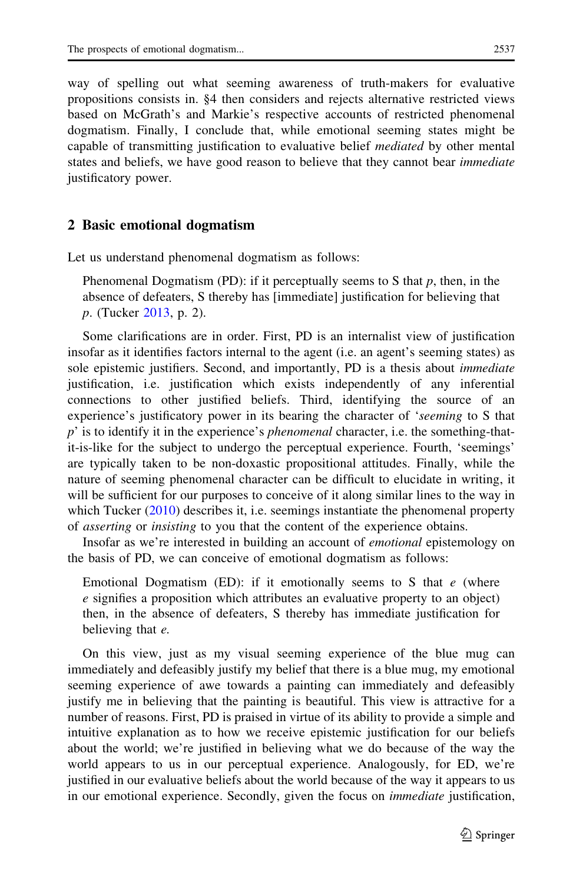way of spelling out what seeming awareness of truth-makers for evaluative propositions consists in. §4 then considers and rejects alternative restricted views based on McGrath's and Markie's respective accounts of restricted phenomenal dogmatism. Finally, I conclude that, while emotional seeming states might be capable of transmitting justification to evaluative belief *mediated* by other mental states and beliefs, we have good reason to believe that they cannot bear *immediate* justificatory power.

### 2 Basic emotional dogmatism

Let us understand phenomenal dogmatism as follows:

Phenomenal Dogmatism (PD): if it perceptually seems to S that  $p$ , then, in the absence of defeaters, S thereby has [immediate] justification for believing that p. (Tucker [2013](#page-20-0), p. 2).

Some clarifications are in order. First, PD is an internalist view of justification insofar as it identifies factors internal to the agent (i.e. an agent's seeming states) as sole epistemic justifiers. Second, and importantly, PD is a thesis about *immediate* justification, i.e. justification which exists independently of any inferential connections to other justified beliefs. Third, identifying the source of an experience's justificatory power in its bearing the character of 'seeming to S that  $p'$  is to identify it in the experience's *phenomenal* character, i.e. the something-thatit-is-like for the subject to undergo the perceptual experience. Fourth, 'seemings' are typically taken to be non-doxastic propositional attitudes. Finally, while the nature of seeming phenomenal character can be difficult to elucidate in writing, it will be sufficient for our purposes to conceive of it along similar lines to the way in which Tucker  $(2010)$  $(2010)$  describes it, i.e. seemings instantiate the phenomenal property of asserting or insisting to you that the content of the experience obtains.

Insofar as we're interested in building an account of emotional epistemology on the basis of PD, we can conceive of emotional dogmatism as follows:

Emotional Dogmatism (ED): if it emotionally seems to S that  $e$  (where e signifies a proposition which attributes an evaluative property to an object) then, in the absence of defeaters, S thereby has immediate justification for believing that e.

On this view, just as my visual seeming experience of the blue mug can immediately and defeasibly justify my belief that there is a blue mug, my emotional seeming experience of awe towards a painting can immediately and defeasibly justify me in believing that the painting is beautiful. This view is attractive for a number of reasons. First, PD is praised in virtue of its ability to provide a simple and intuitive explanation as to how we receive epistemic justification for our beliefs about the world; we're justified in believing what we do because of the way the world appears to us in our perceptual experience. Analogously, for ED, we're justified in our evaluative beliefs about the world because of the way it appears to us in our emotional experience. Secondly, given the focus on *immediate* justification,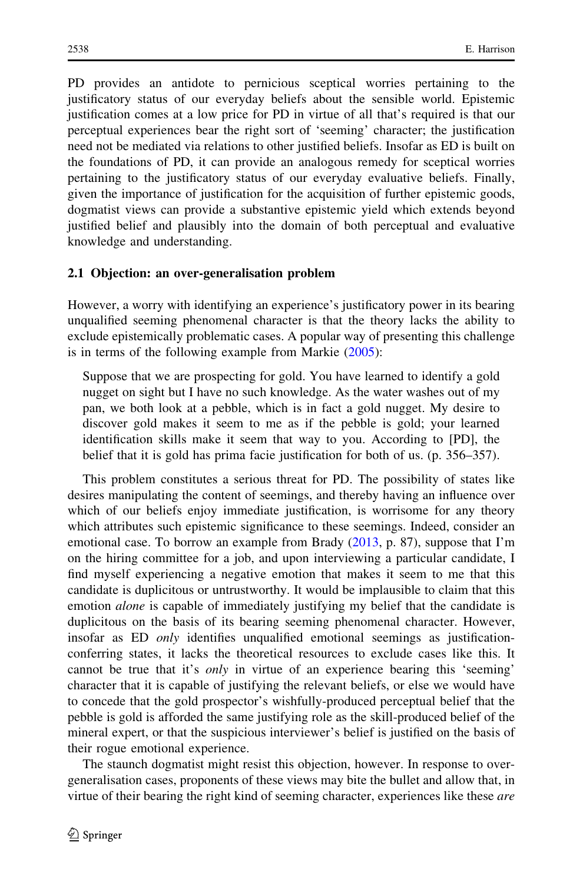PD provides an antidote to pernicious sceptical worries pertaining to the justificatory status of our everyday beliefs about the sensible world. Epistemic justification comes at a low price for PD in virtue of all that's required is that our perceptual experiences bear the right sort of 'seeming' character; the justification need not be mediated via relations to other justified beliefs. Insofar as ED is built on the foundations of PD, it can provide an analogous remedy for sceptical worries pertaining to the justificatory status of our everyday evaluative beliefs. Finally, given the importance of justification for the acquisition of further epistemic goods, dogmatist views can provide a substantive epistemic yield which extends beyond justified belief and plausibly into the domain of both perceptual and evaluative knowledge and understanding.

### 2.1 Objection: an over-generalisation problem

However, a worry with identifying an experience's justificatory power in its bearing unqualified seeming phenomenal character is that the theory lacks the ability to exclude epistemically problematic cases. A popular way of presenting this challenge is in terms of the following example from Markie ([2005\)](#page-20-0):

Suppose that we are prospecting for gold. You have learned to identify a gold nugget on sight but I have no such knowledge. As the water washes out of my pan, we both look at a pebble, which is in fact a gold nugget. My desire to discover gold makes it seem to me as if the pebble is gold; your learned identification skills make it seem that way to you. According to [PD], the belief that it is gold has prima facie justification for both of us. (p. 356–357).

This problem constitutes a serious threat for PD. The possibility of states like desires manipulating the content of seemings, and thereby having an influence over which of our beliefs enjoy immediate justification, is worrisome for any theory which attributes such epistemic significance to these seemings. Indeed, consider an emotional case. To borrow an example from Brady ([2013,](#page-19-0) p. 87), suppose that I'm on the hiring committee for a job, and upon interviewing a particular candidate, I find myself experiencing a negative emotion that makes it seem to me that this candidate is duplicitous or untrustworthy. It would be implausible to claim that this emotion *alone* is capable of immediately justifying my belief that the candidate is duplicitous on the basis of its bearing seeming phenomenal character. However, insofar as ED only identifies unqualified emotional seemings as justificationconferring states, it lacks the theoretical resources to exclude cases like this. It cannot be true that it's only in virtue of an experience bearing this 'seeming' character that it is capable of justifying the relevant beliefs, or else we would have to concede that the gold prospector's wishfully-produced perceptual belief that the pebble is gold is afforded the same justifying role as the skill-produced belief of the mineral expert, or that the suspicious interviewer's belief is justified on the basis of their rogue emotional experience.

The staunch dogmatist might resist this objection, however. In response to overgeneralisation cases, proponents of these views may bite the bullet and allow that, in virtue of their bearing the right kind of seeming character, experiences like these are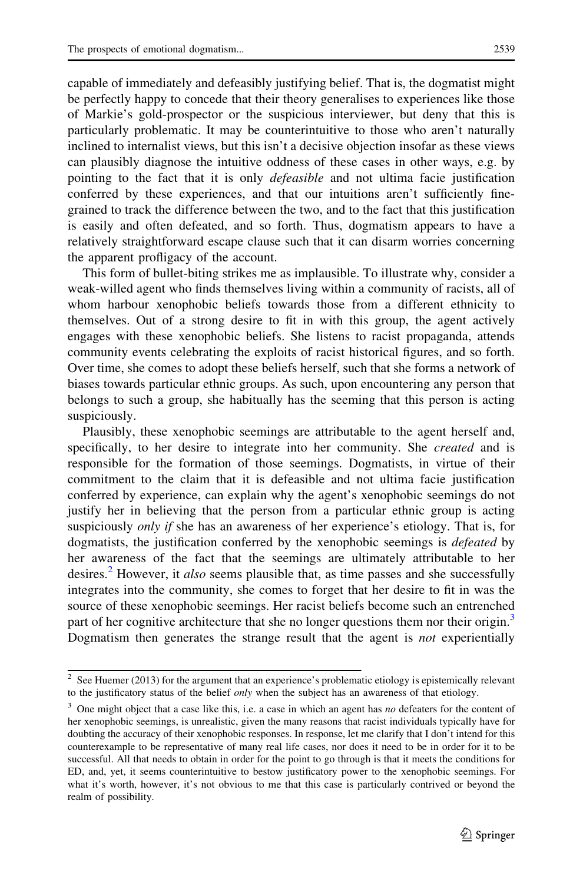capable of immediately and defeasibly justifying belief. That is, the dogmatist might be perfectly happy to concede that their theory generalises to experiences like those of Markie's gold-prospector or the suspicious interviewer, but deny that this is particularly problematic. It may be counterintuitive to those who aren't naturally inclined to internalist views, but this isn't a decisive objection insofar as these views can plausibly diagnose the intuitive oddness of these cases in other ways, e.g. by pointing to the fact that it is only *defeasible* and not ultima facie justification conferred by these experiences, and that our intuitions aren't sufficiently finegrained to track the difference between the two, and to the fact that this justification is easily and often defeated, and so forth. Thus, dogmatism appears to have a relatively straightforward escape clause such that it can disarm worries concerning the apparent profligacy of the account.

This form of bullet-biting strikes me as implausible. To illustrate why, consider a weak-willed agent who finds themselves living within a community of racists, all of whom harbour xenophobic beliefs towards those from a different ethnicity to themselves. Out of a strong desire to fit in with this group, the agent actively engages with these xenophobic beliefs. She listens to racist propaganda, attends community events celebrating the exploits of racist historical figures, and so forth. Over time, she comes to adopt these beliefs herself, such that she forms a network of biases towards particular ethnic groups. As such, upon encountering any person that belongs to such a group, she habitually has the seeming that this person is acting suspiciously.

Plausibly, these xenophobic seemings are attributable to the agent herself and, specifically, to her desire to integrate into her community. She *created* and is responsible for the formation of those seemings. Dogmatists, in virtue of their commitment to the claim that it is defeasible and not ultima facie justification conferred by experience, can explain why the agent's xenophobic seemings do not justify her in believing that the person from a particular ethnic group is acting suspiciously only if she has an awareness of her experience's etiology. That is, for dogmatists, the justification conferred by the xenophobic seemings is *defeated* by her awareness of the fact that the seemings are ultimately attributable to her desires.<sup>2</sup> However, it *also* seems plausible that, as time passes and she successfully integrates into the community, she comes to forget that her desire to fit in was the source of these xenophobic seemings. Her racist beliefs become such an entrenched part of her cognitive architecture that she no longer questions them nor their origin.<sup>3</sup> Dogmatism then generates the strange result that the agent is *not* experientially

 $2$  See Huemer (2013) for the argument that an experience's problematic etiology is epistemically relevant to the justificatory status of the belief only when the subject has an awareness of that etiology.

 $3$  One might object that a case like this, i.e. a case in which an agent has no defeaters for the content of her xenophobic seemings, is unrealistic, given the many reasons that racist individuals typically have for doubting the accuracy of their xenophobic responses. In response, let me clarify that I don't intend for this counterexample to be representative of many real life cases, nor does it need to be in order for it to be successful. All that needs to obtain in order for the point to go through is that it meets the conditions for ED, and, yet, it seems counterintuitive to bestow justificatory power to the xenophobic seemings. For what it's worth, however, it's not obvious to me that this case is particularly contrived or beyond the realm of possibility.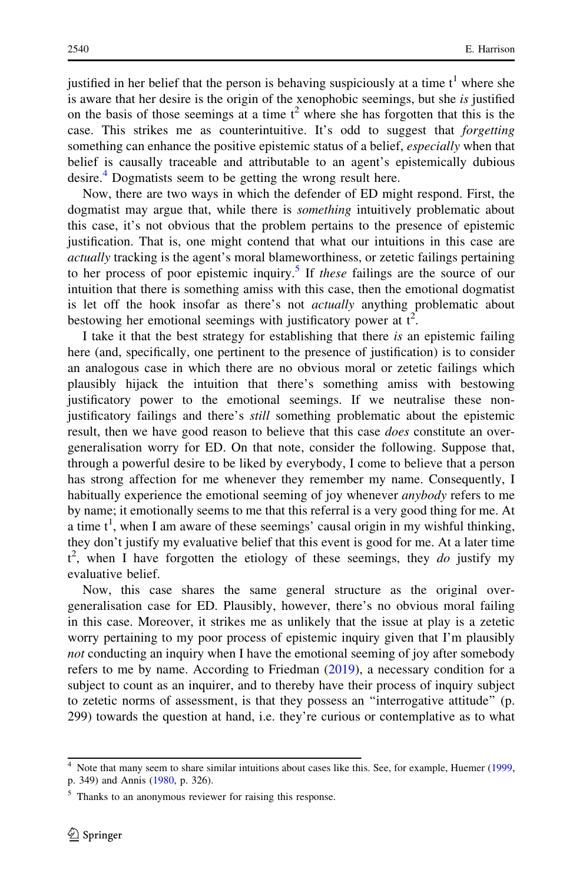justified in her belief that the person is behaving suspiciously at a time  $t<sup>1</sup>$  where she is aware that her desire is the origin of the xenophobic seemings, but she is justified on the basis of those seemings at a time  $t^2$  where she has forgotten that this is the case. This strikes me as counterintuitive. It's odd to suggest that forgetting something can enhance the positive epistemic status of a belief, especially when that belief is causally traceable and attributable to an agent's epistemically dubious desire.<sup>4</sup> Dogmatists seem to be getting the wrong result here.

Now, there are two ways in which the defender of ED might respond. First, the dogmatist may argue that, while there is something intuitively problematic about this case, it's not obvious that the problem pertains to the presence of epistemic justification. That is, one might contend that what our intuitions in this case are actually tracking is the agent's moral blameworthiness, or zetetic failings pertaining to her process of poor epistemic inquiry.<sup>5</sup> If these failings are the source of our intuition that there is something amiss with this case, then the emotional dogmatist is let off the hook insofar as there's not actually anything problematic about bestowing her emotional seemings with justificatory power at  $t^2$ .

I take it that the best strategy for establishing that there is an epistemic failing here (and, specifically, one pertinent to the presence of justification) is to consider an analogous case in which there are no obvious moral or zetetic failings which plausibly hijack the intuition that there's something amiss with bestowing justificatory power to the emotional seemings. If we neutralise these nonjustificatory failings and there's still something problematic about the epistemic result, then we have good reason to believe that this case *does* constitute an overgeneralisation worry for ED. On that note, consider the following. Suppose that, through a powerful desire to be liked by everybody, I come to believe that a person has strong affection for me whenever they remember my name. Consequently, I habitually experience the emotional seeming of joy whenever anybody refers to me by name; it emotionally seems to me that this referral is a very good thing for me. At a time  $t<sup>1</sup>$ , when I am aware of these seemings' causal origin in my wishful thinking, they don't justify my evaluative belief that this event is good for me. At a later time  $t^2$ , when I have forgotten the etiology of these seemings, they do justify my evaluative belief.

Now, this case shares the same general structure as the original overgeneralisation case for ED. Plausibly, however, there's no obvious moral failing in this case. Moreover, it strikes me as unlikely that the issue at play is a zetetic worry pertaining to my poor process of epistemic inquiry given that I'm plausibly not conducting an inquiry when I have the emotional seeming of joy after somebody refers to me by name. According to Friedman ([2019\)](#page-20-0), a necessary condition for a subject to count as an inquirer, and to thereby have their process of inquiry subject to zetetic norms of assessment, is that they possess an ''interrogative attitude'' (p. 299) towards the question at hand, i.e. they're curious or contemplative as to what

<sup>&</sup>lt;sup>4</sup> Note that many seem to share similar intuitions about cases like this. See, for example, Huemer [\(1999](#page-20-0), p. 349) and Annis [\(1980](#page-19-0), p. 326).

<sup>&</sup>lt;sup>5</sup> Thanks to an anonymous reviewer for raising this response.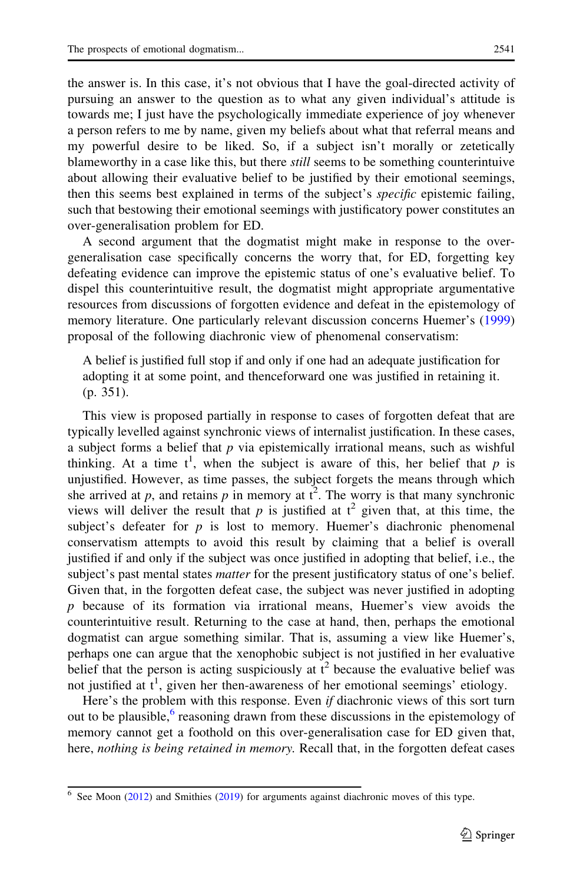the answer is. In this case, it's not obvious that I have the goal-directed activity of pursuing an answer to the question as to what any given individual's attitude is towards me; I just have the psychologically immediate experience of joy whenever a person refers to me by name, given my beliefs about what that referral means and my powerful desire to be liked. So, if a subject isn't morally or zetetically blameworthy in a case like this, but there still seems to be something counterintuive about allowing their evaluative belief to be justified by their emotional seemings, then this seems best explained in terms of the subject's specific epistemic failing, such that bestowing their emotional seemings with justificatory power constitutes an over-generalisation problem for ED.

A second argument that the dogmatist might make in response to the overgeneralisation case specifically concerns the worry that, for ED, forgetting key defeating evidence can improve the epistemic status of one's evaluative belief. To dispel this counterintuitive result, the dogmatist might appropriate argumentative resources from discussions of forgotten evidence and defeat in the epistemology of memory literature. One particularly relevant discussion concerns Huemer's [\(1999](#page-20-0)) proposal of the following diachronic view of phenomenal conservatism:

A belief is justified full stop if and only if one had an adequate justification for adopting it at some point, and thenceforward one was justified in retaining it. (p. 351).

This view is proposed partially in response to cases of forgotten defeat that are typically levelled against synchronic views of internalist justification. In these cases, a subject forms a belief that  $p$  via epistemically irrational means, such as wishful thinking. At a time  $t^1$ , when the subject is aware of this, her belief that p is unjustified. However, as time passes, the subject forgets the means through which she arrived at p, and retains p in memory at  $t^2$ . The worry is that many synchronic views will deliver the result that p is justified at  $t^2$  given that, at this time, the subject's defeater for  $p$  is lost to memory. Huemer's diachronic phenomenal conservatism attempts to avoid this result by claiming that a belief is overall justified if and only if the subject was once justified in adopting that belief, i.e., the subject's past mental states *matter* for the present justificatory status of one's belief. Given that, in the forgotten defeat case, the subject was never justified in adopting p because of its formation via irrational means, Huemer's view avoids the counterintuitive result. Returning to the case at hand, then, perhaps the emotional dogmatist can argue something similar. That is, assuming a view like Huemer's, perhaps one can argue that the xenophobic subject is not justified in her evaluative belief that the person is acting suspiciously at  $t^2$  because the evaluative belief was not justified at  $t^1$ , given her then-awareness of her emotional seemings' etiology.

Here's the problem with this response. Even if diachronic views of this sort turn out to be plausible,<sup>6</sup> reasoning drawn from these discussions in the epistemology of memory cannot get a foothold on this over-generalisation case for ED given that, here, nothing is being retained in memory. Recall that, in the forgotten defeat cases

 $6$  See Moon [\(2012](#page-20-0)) and Smithies ([2019\)](#page-20-0) for arguments against diachronic moves of this type.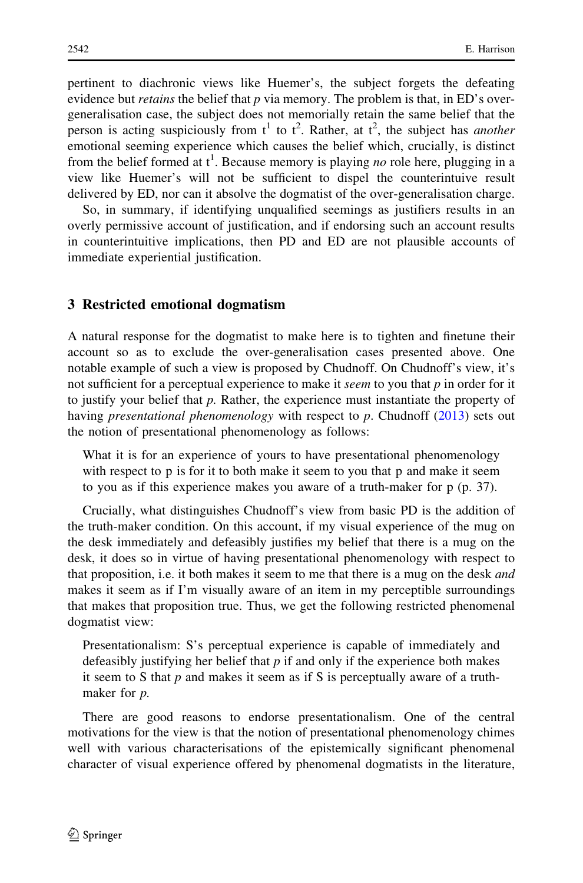pertinent to diachronic views like Huemer's, the subject forgets the defeating evidence but *retains* the belief that  $p$  via memory. The problem is that, in ED's overgeneralisation case, the subject does not memorially retain the same belief that the person is acting suspiciously from  $t^1$  to  $t^2$ . Rather, at  $t^2$ , the subject has *another* emotional seeming experience which causes the belief which, crucially, is distinct from the belief formed at  $t^1$ . Because memory is playing no role here, plugging in a view like Huemer's will not be sufficient to dispel the counterintuive result delivered by ED, nor can it absolve the dogmatist of the over-generalisation charge.

So, in summary, if identifying unqualified seemings as justifiers results in an overly permissive account of justification, and if endorsing such an account results in counterintuitive implications, then PD and ED are not plausible accounts of immediate experiential justification.

## 3 Restricted emotional dogmatism

A natural response for the dogmatist to make here is to tighten and finetune their account so as to exclude the over-generalisation cases presented above. One notable example of such a view is proposed by Chudnoff. On Chudnoff's view, it's not sufficient for a perceptual experience to make it *seem* to you that  $p$  in order for it to justify your belief that  $p$ . Rather, the experience must instantiate the property of having *presentational phenomenology* with respect to p. Chudnoff ([2013](#page-19-0)) sets out the notion of presentational phenomenology as follows:

What it is for an experience of yours to have presentational phenomenology with respect to p is for it to both make it seem to you that p and make it seem to you as if this experience makes you aware of a truth-maker for p (p. 37).

Crucially, what distinguishes Chudnoff's view from basic PD is the addition of the truth-maker condition. On this account, if my visual experience of the mug on the desk immediately and defeasibly justifies my belief that there is a mug on the desk, it does so in virtue of having presentational phenomenology with respect to that proposition, i.e. it both makes it seem to me that there is a mug on the desk *and* makes it seem as if I'm visually aware of an item in my perceptible surroundings that makes that proposition true. Thus, we get the following restricted phenomenal dogmatist view:

Presentationalism: S's perceptual experience is capable of immediately and defeasibly justifying her belief that  $p$  if and only if the experience both makes it seem to S that  $p$  and makes it seem as if S is perceptually aware of a truthmaker for *p*.

There are good reasons to endorse presentationalism. One of the central motivations for the view is that the notion of presentational phenomenology chimes well with various characterisations of the epistemically significant phenomenal character of visual experience offered by phenomenal dogmatists in the literature,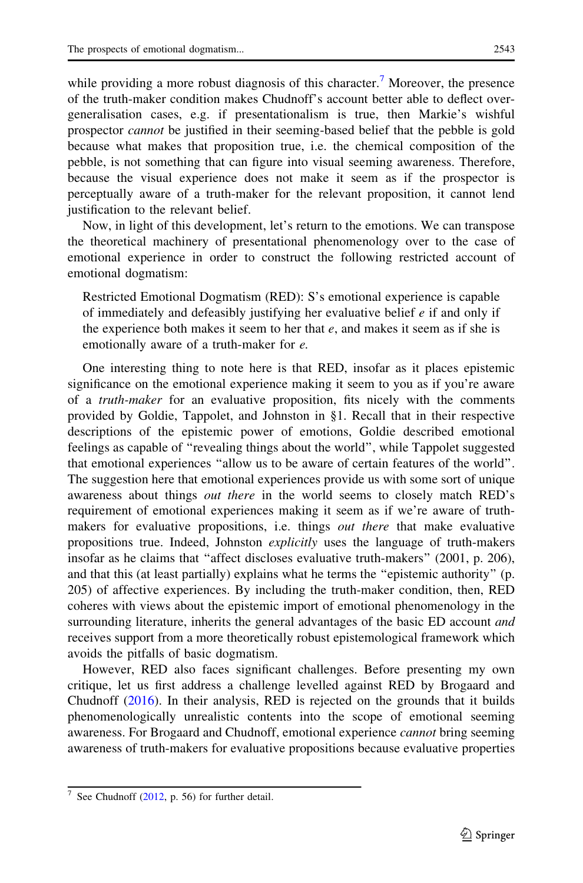while providing a more robust diagnosis of this character.<sup>7</sup> Moreover, the presence

of the truth-maker condition makes Chudnoff's account better able to deflect overgeneralisation cases, e.g. if presentationalism is true, then Markie's wishful prospector cannot be justified in their seeming-based belief that the pebble is gold because what makes that proposition true, i.e. the chemical composition of the pebble, is not something that can figure into visual seeming awareness. Therefore, because the visual experience does not make it seem as if the prospector is perceptually aware of a truth-maker for the relevant proposition, it cannot lend justification to the relevant belief.

Now, in light of this development, let's return to the emotions. We can transpose the theoretical machinery of presentational phenomenology over to the case of emotional experience in order to construct the following restricted account of emotional dogmatism:

Restricted Emotional Dogmatism (RED): S's emotional experience is capable of immediately and defeasibly justifying her evaluative belief  $e$  if and only if the experience both makes it seem to her that  $e$ , and makes it seem as if she is emotionally aware of a truth-maker for e.

One interesting thing to note here is that RED, insofar as it places epistemic significance on the emotional experience making it seem to you as if you're aware of a truth-maker for an evaluative proposition, fits nicely with the comments provided by Goldie, Tappolet, and Johnston in §1. Recall that in their respective descriptions of the epistemic power of emotions, Goldie described emotional feelings as capable of ''revealing things about the world'', while Tappolet suggested that emotional experiences ''allow us to be aware of certain features of the world''. The suggestion here that emotional experiences provide us with some sort of unique awareness about things *out there* in the world seems to closely match RED's requirement of emotional experiences making it seem as if we're aware of truthmakers for evaluative propositions, i.e. things *out there* that make evaluative propositions true. Indeed, Johnston explicitly uses the language of truth-makers insofar as he claims that ''affect discloses evaluative truth-makers'' (2001, p. 206), and that this (at least partially) explains what he terms the ''epistemic authority'' (p. 205) of affective experiences. By including the truth-maker condition, then, RED coheres with views about the epistemic import of emotional phenomenology in the surrounding literature, inherits the general advantages of the basic ED account *and* receives support from a more theoretically robust epistemological framework which avoids the pitfalls of basic dogmatism.

However, RED also faces significant challenges. Before presenting my own critique, let us first address a challenge levelled against RED by Brogaard and Chudnoff [\(2016](#page-19-0)). In their analysis, RED is rejected on the grounds that it builds phenomenologically unrealistic contents into the scope of emotional seeming awareness. For Brogaard and Chudnoff, emotional experience *cannot* bring seeming awareness of truth-makers for evaluative propositions because evaluative properties

 $7$  See Chudnoff ([2012,](#page-19-0) p. 56) for further detail.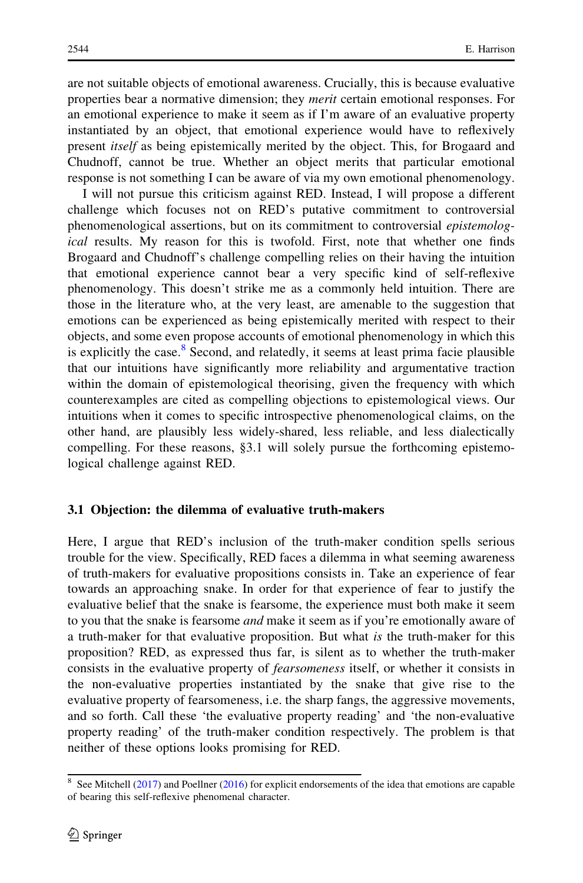are not suitable objects of emotional awareness. Crucially, this is because evaluative properties bear a normative dimension; they merit certain emotional responses. For an emotional experience to make it seem as if I'm aware of an evaluative property instantiated by an object, that emotional experience would have to reflexively present *itself* as being epistemically merited by the object. This, for Brogaard and Chudnoff, cannot be true. Whether an object merits that particular emotional response is not something I can be aware of via my own emotional phenomenology.

I will not pursue this criticism against RED. Instead, I will propose a different challenge which focuses not on RED's putative commitment to controversial phenomenological assertions, but on its commitment to controversial epistemological results. My reason for this is twofold. First, note that whether one finds Brogaard and Chudnoff's challenge compelling relies on their having the intuition that emotional experience cannot bear a very specific kind of self-reflexive phenomenology. This doesn't strike me as a commonly held intuition. There are those in the literature who, at the very least, are amenable to the suggestion that emotions can be experienced as being epistemically merited with respect to their objects, and some even propose accounts of emotional phenomenology in which this is explicitly the case. $8$  Second, and relatedly, it seems at least prima facie plausible that our intuitions have significantly more reliability and argumentative traction within the domain of epistemological theorising, given the frequency with which counterexamples are cited as compelling objections to epistemological views. Our intuitions when it comes to specific introspective phenomenological claims, on the other hand, are plausibly less widely-shared, less reliable, and less dialectically compelling. For these reasons, §3.1 will solely pursue the forthcoming epistemological challenge against RED.

## 3.1 Objection: the dilemma of evaluative truth-makers

Here, I argue that RED's inclusion of the truth-maker condition spells serious trouble for the view. Specifically, RED faces a dilemma in what seeming awareness of truth-makers for evaluative propositions consists in. Take an experience of fear towards an approaching snake. In order for that experience of fear to justify the evaluative belief that the snake is fearsome, the experience must both make it seem to you that the snake is fearsome *and* make it seem as if you're emotionally aware of a truth-maker for that evaluative proposition. But what is the truth-maker for this proposition? RED, as expressed thus far, is silent as to whether the truth-maker consists in the evaluative property of fearsomeness itself, or whether it consists in the non-evaluative properties instantiated by the snake that give rise to the evaluative property of fearsomeness, i.e. the sharp fangs, the aggressive movements, and so forth. Call these 'the evaluative property reading' and 'the non-evaluative property reading' of the truth-maker condition respectively. The problem is that neither of these options looks promising for RED.

<sup>&</sup>lt;sup>8</sup> See Mitchell [\(2017\)](#page-20-0) and Poellner [\(2016](#page-20-0)) for explicit endorsements of the idea that emotions are capable of bearing this self-reflexive phenomenal character.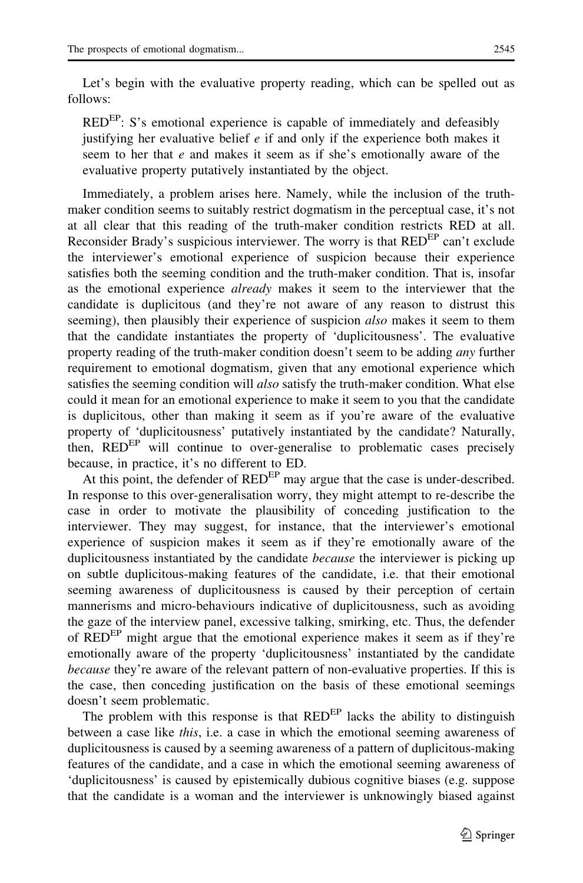Let's begin with the evaluative property reading, which can be spelled out as follows:

RED<sup>EP</sup>: S's emotional experience is capable of immediately and defeasibly justifying her evaluative belief  $e$  if and only if the experience both makes it seem to her that e and makes it seem as if she's emotionally aware of the evaluative property putatively instantiated by the object.

Immediately, a problem arises here. Namely, while the inclusion of the truthmaker condition seems to suitably restrict dogmatism in the perceptual case, it's not at all clear that this reading of the truth-maker condition restricts RED at all. Reconsider Brady's suspicious interviewer. The worry is that RED<sup>EP</sup> can't exclude the interviewer's emotional experience of suspicion because their experience satisfies both the seeming condition and the truth-maker condition. That is, insofar as the emotional experience already makes it seem to the interviewer that the candidate is duplicitous (and they're not aware of any reason to distrust this seeming), then plausibly their experience of suspicion *also* makes it seem to them that the candidate instantiates the property of 'duplicitousness'. The evaluative property reading of the truth-maker condition doesn't seem to be adding *any* further requirement to emotional dogmatism, given that any emotional experience which satisfies the seeming condition will *also* satisfy the truth-maker condition. What else could it mean for an emotional experience to make it seem to you that the candidate is duplicitous, other than making it seem as if you're aware of the evaluative property of 'duplicitousness' putatively instantiated by the candidate? Naturally, then, RED<sup>EP</sup> will continue to over-generalise to problematic cases precisely because, in practice, it's no different to ED.

At this point, the defender of RED<sup>EP</sup> may argue that the case is under-described. In response to this over-generalisation worry, they might attempt to re-describe the case in order to motivate the plausibility of conceding justification to the interviewer. They may suggest, for instance, that the interviewer's emotional experience of suspicion makes it seem as if they're emotionally aware of the duplicitousness instantiated by the candidate *because* the interviewer is picking up on subtle duplicitous-making features of the candidate, i.e. that their emotional seeming awareness of duplicitousness is caused by their perception of certain mannerisms and micro-behaviours indicative of duplicitousness, such as avoiding the gaze of the interview panel, excessive talking, smirking, etc. Thus, the defender of RED<sup>EP</sup> might argue that the emotional experience makes it seem as if they're emotionally aware of the property 'duplicitousness' instantiated by the candidate because they're aware of the relevant pattern of non-evaluative properties. If this is the case, then conceding justification on the basis of these emotional seemings doesn't seem problematic.

The problem with this response is that RED<sup>EP</sup> lacks the ability to distinguish between a case like this, i.e. a case in which the emotional seeming awareness of duplicitousness is caused by a seeming awareness of a pattern of duplicitous-making features of the candidate, and a case in which the emotional seeming awareness of 'duplicitousness' is caused by epistemically dubious cognitive biases (e.g. suppose that the candidate is a woman and the interviewer is unknowingly biased against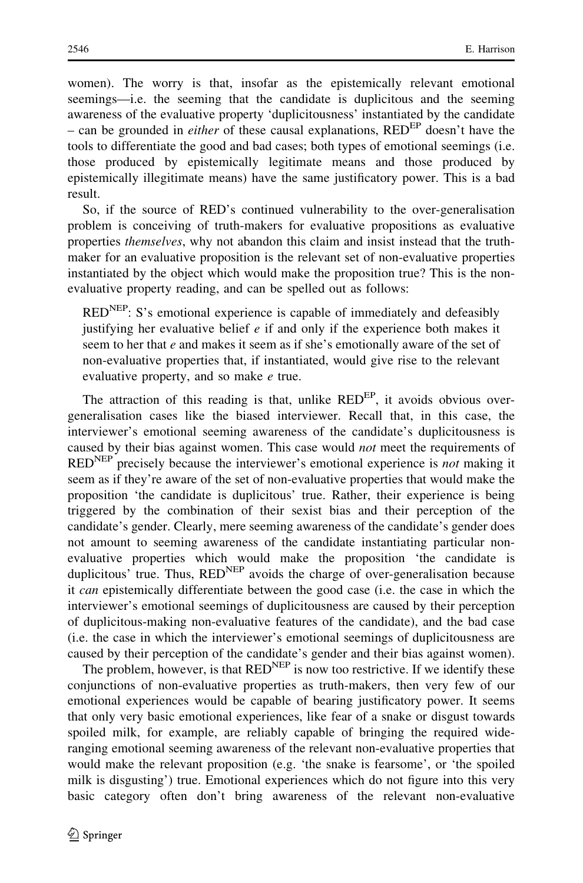women). The worry is that, insofar as the epistemically relevant emotional seemings—i.e. the seeming that the candidate is duplicitous and the seeming awareness of the evaluative property 'duplicitousness' instantiated by the candidate – can be grounded in *either* of these causal explanations,  $RED^{EP}$  doesn't have the tools to differentiate the good and bad cases; both types of emotional seemings (i.e. those produced by epistemically legitimate means and those produced by epistemically illegitimate means) have the same justificatory power. This is a bad result.

So, if the source of RED's continued vulnerability to the over-generalisation problem is conceiving of truth-makers for evaluative propositions as evaluative properties themselves, why not abandon this claim and insist instead that the truthmaker for an evaluative proposition is the relevant set of non-evaluative properties instantiated by the object which would make the proposition true? This is the nonevaluative property reading, and can be spelled out as follows:

RED<sup>NEP</sup>: S's emotional experience is capable of immediately and defeasibly justifying her evaluative belief  $e$  if and only if the experience both makes it seem to her that e and makes it seem as if she's emotionally aware of the set of non-evaluative properties that, if instantiated, would give rise to the relevant evaluative property, and so make e true.

The attraction of this reading is that, unlike RED<sup>EP</sup>, it avoids obvious overgeneralisation cases like the biased interviewer. Recall that, in this case, the interviewer's emotional seeming awareness of the candidate's duplicitousness is caused by their bias against women. This case would not meet the requirements of  $RED<sup>NEP</sup>$  precisely because the interviewer's emotional experience is *not* making it seem as if they're aware of the set of non-evaluative properties that would make the proposition 'the candidate is duplicitous' true. Rather, their experience is being triggered by the combination of their sexist bias and their perception of the candidate's gender. Clearly, mere seeming awareness of the candidate's gender does not amount to seeming awareness of the candidate instantiating particular nonevaluative properties which would make the proposition 'the candidate is duplicitous' true. Thus, RED<sup>NEP</sup> avoids the charge of over-generalisation because it can epistemically differentiate between the good case (i.e. the case in which the interviewer's emotional seemings of duplicitousness are caused by their perception of duplicitous-making non-evaluative features of the candidate), and the bad case (i.e. the case in which the interviewer's emotional seemings of duplicitousness are caused by their perception of the candidate's gender and their bias against women).

The problem, however, is that  $RED<sup>NEP</sup>$  is now too restrictive. If we identify these conjunctions of non-evaluative properties as truth-makers, then very few of our emotional experiences would be capable of bearing justificatory power. It seems that only very basic emotional experiences, like fear of a snake or disgust towards spoiled milk, for example, are reliably capable of bringing the required wideranging emotional seeming awareness of the relevant non-evaluative properties that would make the relevant proposition (e.g. 'the snake is fearsome', or 'the spoiled milk is disgusting') true. Emotional experiences which do not figure into this very basic category often don't bring awareness of the relevant non-evaluative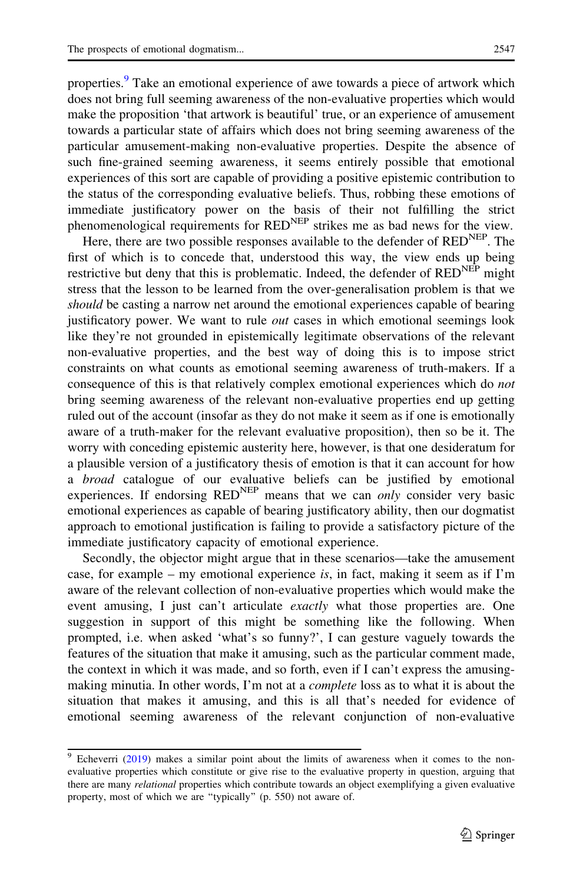properties.<sup>9</sup> Take an emotional experience of awe towards a piece of artwork which does not bring full seeming awareness of the non-evaluative properties which would make the proposition 'that artwork is beautiful' true, or an experience of amusement towards a particular state of affairs which does not bring seeming awareness of the particular amusement-making non-evaluative properties. Despite the absence of such fine-grained seeming awareness, it seems entirely possible that emotional experiences of this sort are capable of providing a positive epistemic contribution to the status of the corresponding evaluative beliefs. Thus, robbing these emotions of immediate justificatory power on the basis of their not fulfilling the strict phenomenological requirements for RED<sup>NEP</sup> strikes me as bad news for the view.

Here, there are two possible responses available to the defender of  $RED<sup>NEP</sup>$ . The first of which is to concede that, understood this way, the view ends up being restrictive but deny that this is problematic. Indeed, the defender of RED<sup>NEP</sup> might stress that the lesson to be learned from the over-generalisation problem is that we should be casting a narrow net around the emotional experiences capable of bearing justificatory power. We want to rule *out* cases in which emotional seemings look like they're not grounded in epistemically legitimate observations of the relevant non-evaluative properties, and the best way of doing this is to impose strict constraints on what counts as emotional seeming awareness of truth-makers. If a consequence of this is that relatively complex emotional experiences which do not bring seeming awareness of the relevant non-evaluative properties end up getting ruled out of the account (insofar as they do not make it seem as if one is emotionally aware of a truth-maker for the relevant evaluative proposition), then so be it. The worry with conceding epistemic austerity here, however, is that one desideratum for a plausible version of a justificatory thesis of emotion is that it can account for how a broad catalogue of our evaluative beliefs can be justified by emotional experiences. If endorsing RED<sup>NEP</sup> means that we can only consider very basic emotional experiences as capable of bearing justificatory ability, then our dogmatist approach to emotional justification is failing to provide a satisfactory picture of the immediate justificatory capacity of emotional experience.

Secondly, the objector might argue that in these scenarios—take the amusement case, for example – my emotional experience is, in fact, making it seem as if I'm aware of the relevant collection of non-evaluative properties which would make the event amusing, I just can't articulate *exactly* what those properties are. One suggestion in support of this might be something like the following. When prompted, i.e. when asked 'what's so funny?', I can gesture vaguely towards the features of the situation that make it amusing, such as the particular comment made, the context in which it was made, and so forth, even if I can't express the amusingmaking minutia. In other words, I'm not at a *complete* loss as to what it is about the situation that makes it amusing, and this is all that's needed for evidence of emotional seeming awareness of the relevant conjunction of non-evaluative

<sup>&</sup>lt;sup>9</sup> Echeverri [\(2019](#page-19-0)) makes a similar point about the limits of awareness when it comes to the nonevaluative properties which constitute or give rise to the evaluative property in question, arguing that there are many *relational* properties which contribute towards an object exemplifying a given evaluative property, most of which we are ''typically'' (p. 550) not aware of.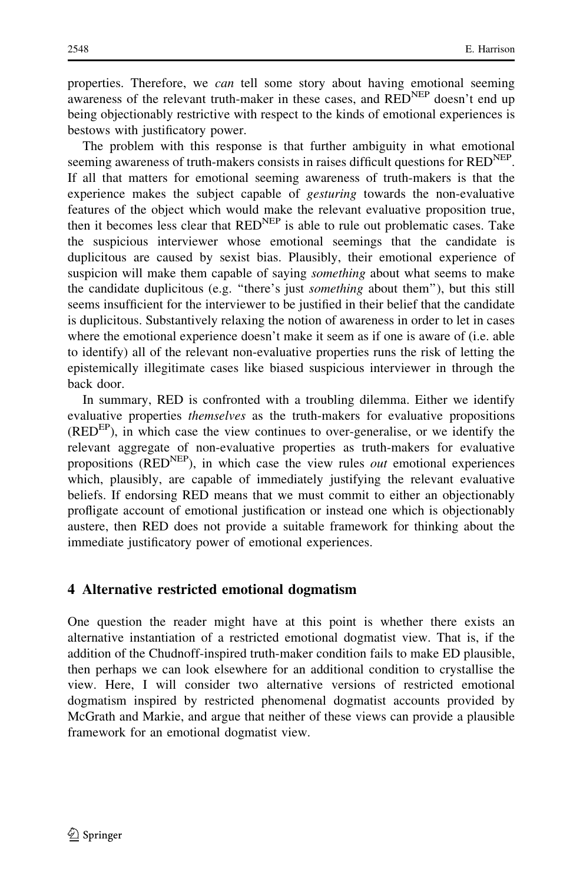properties. Therefore, we can tell some story about having emotional seeming awareness of the relevant truth-maker in these cases, and RED<sup>NEP</sup> doesn't end up being objectionably restrictive with respect to the kinds of emotional experiences is bestows with justificatory power.

The problem with this response is that further ambiguity in what emotional seeming awareness of truth-makers consists in raises difficult questions for RED<sup>NEP</sup>. If all that matters for emotional seeming awareness of truth-makers is that the experience makes the subject capable of *gesturing* towards the non-evaluative features of the object which would make the relevant evaluative proposition true, then it becomes less clear that  $RED<sup>NEP</sup>$  is able to rule out problematic cases. Take the suspicious interviewer whose emotional seemings that the candidate is duplicitous are caused by sexist bias. Plausibly, their emotional experience of suspicion will make them capable of saying *something* about what seems to make the candidate duplicitous (e.g. "there's just *something* about them"), but this still seems insufficient for the interviewer to be justified in their belief that the candidate is duplicitous. Substantively relaxing the notion of awareness in order to let in cases where the emotional experience doesn't make it seem as if one is aware of (i.e. able to identify) all of the relevant non-evaluative properties runs the risk of letting the epistemically illegitimate cases like biased suspicious interviewer in through the back door.

In summary, RED is confronted with a troubling dilemma. Either we identify evaluative properties themselves as the truth-makers for evaluative propositions  $(RED<sup>EP</sup>)$ , in which case the view continues to over-generalise, or we identify the relevant aggregate of non-evaluative properties as truth-makers for evaluative propositions ( $RED<sup>NEP</sup>$ ), in which case the view rules *out* emotional experiences which, plausibly, are capable of immediately justifying the relevant evaluative beliefs. If endorsing RED means that we must commit to either an objectionably profligate account of emotional justification or instead one which is objectionably austere, then RED does not provide a suitable framework for thinking about the immediate justificatory power of emotional experiences.

## 4 Alternative restricted emotional dogmatism

One question the reader might have at this point is whether there exists an alternative instantiation of a restricted emotional dogmatist view. That is, if the addition of the Chudnoff-inspired truth-maker condition fails to make ED plausible, then perhaps we can look elsewhere for an additional condition to crystallise the view. Here, I will consider two alternative versions of restricted emotional dogmatism inspired by restricted phenomenal dogmatist accounts provided by McGrath and Markie, and argue that neither of these views can provide a plausible framework for an emotional dogmatist view.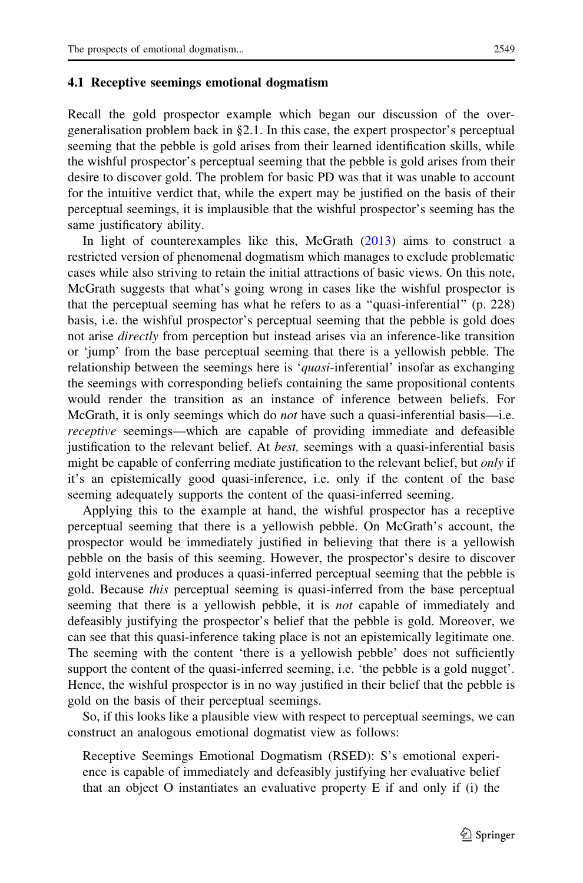### 4.1 Receptive seemings emotional dogmatism

Recall the gold prospector example which began our discussion of the overgeneralisation problem back in §2.1. In this case, the expert prospector's perceptual seeming that the pebble is gold arises from their learned identification skills, while the wishful prospector's perceptual seeming that the pebble is gold arises from their desire to discover gold. The problem for basic PD was that it was unable to account for the intuitive verdict that, while the expert may be justified on the basis of their perceptual seemings, it is implausible that the wishful prospector's seeming has the same justificatory ability.

In light of counterexamples like this, McGrath [\(2013](#page-20-0)) aims to construct a restricted version of phenomenal dogmatism which manages to exclude problematic cases while also striving to retain the initial attractions of basic views. On this note, McGrath suggests that what's going wrong in cases like the wishful prospector is that the perceptual seeming has what he refers to as a ''quasi-inferential'' (p. 228) basis, i.e. the wishful prospector's perceptual seeming that the pebble is gold does not arise directly from perception but instead arises via an inference-like transition or 'jump' from the base perceptual seeming that there is a yellowish pebble. The relationship between the seemings here is 'quasi-inferential' insofar as exchanging the seemings with corresponding beliefs containing the same propositional contents would render the transition as an instance of inference between beliefs. For McGrath, it is only seemings which do *not* have such a quasi-inferential basis—i.e. receptive seemings—which are capable of providing immediate and defeasible justification to the relevant belief. At *best*, seemings with a quasi-inferential basis might be capable of conferring mediate justification to the relevant belief, but *only* if it's an epistemically good quasi-inference, i.e. only if the content of the base seeming adequately supports the content of the quasi-inferred seeming.

Applying this to the example at hand, the wishful prospector has a receptive perceptual seeming that there is a yellowish pebble. On McGrath's account, the prospector would be immediately justified in believing that there is a yellowish pebble on the basis of this seeming. However, the prospector's desire to discover gold intervenes and produces a quasi-inferred perceptual seeming that the pebble is gold. Because this perceptual seeming is quasi-inferred from the base perceptual seeming that there is a yellowish pebble, it is *not* capable of immediately and defeasibly justifying the prospector's belief that the pebble is gold. Moreover, we can see that this quasi-inference taking place is not an epistemically legitimate one. The seeming with the content 'there is a yellowish pebble' does not sufficiently support the content of the quasi-inferred seeming, i.e. 'the pebble is a gold nugget'. Hence, the wishful prospector is in no way justified in their belief that the pebble is gold on the basis of their perceptual seemings.

So, if this looks like a plausible view with respect to perceptual seemings, we can construct an analogous emotional dogmatist view as follows:

Receptive Seemings Emotional Dogmatism (RSED): S's emotional experience is capable of immediately and defeasibly justifying her evaluative belief that an object O instantiates an evaluative property E if and only if (i) the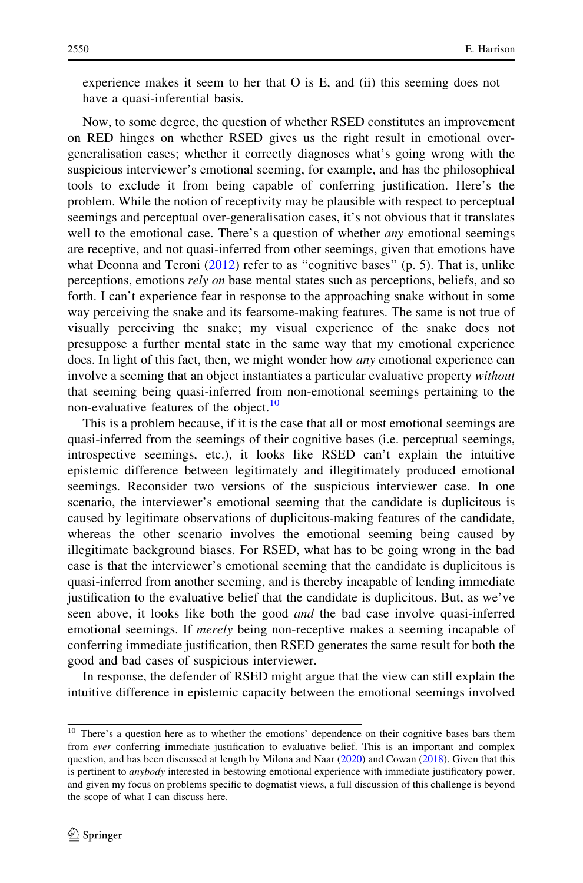experience makes it seem to her that O is E, and (ii) this seeming does not have a quasi-inferential basis.

Now, to some degree, the question of whether RSED constitutes an improvement on RED hinges on whether RSED gives us the right result in emotional overgeneralisation cases; whether it correctly diagnoses what's going wrong with the suspicious interviewer's emotional seeming, for example, and has the philosophical tools to exclude it from being capable of conferring justification. Here's the problem. While the notion of receptivity may be plausible with respect to perceptual seemings and perceptual over-generalisation cases, it's not obvious that it translates well to the emotional case. There's a question of whether *any* emotional seemings are receptive, and not quasi-inferred from other seemings, given that emotions have what Deonna and Teroni  $(2012)$  $(2012)$  refer to as "cognitive bases" (p. 5). That is, unlike perceptions, emotions *rely on* base mental states such as perceptions, beliefs, and so forth. I can't experience fear in response to the approaching snake without in some way perceiving the snake and its fearsome-making features. The same is not true of visually perceiving the snake; my visual experience of the snake does not presuppose a further mental state in the same way that my emotional experience does. In light of this fact, then, we might wonder how *any* emotional experience can involve a seeming that an object instantiates a particular evaluative property without that seeming being quasi-inferred from non-emotional seemings pertaining to the non-evaluative features of the object.<sup>10</sup>

This is a problem because, if it is the case that all or most emotional seemings are quasi-inferred from the seemings of their cognitive bases (i.e. perceptual seemings, introspective seemings, etc.), it looks like RSED can't explain the intuitive epistemic difference between legitimately and illegitimately produced emotional seemings. Reconsider two versions of the suspicious interviewer case. In one scenario, the interviewer's emotional seeming that the candidate is duplicitous is caused by legitimate observations of duplicitous-making features of the candidate, whereas the other scenario involves the emotional seeming being caused by illegitimate background biases. For RSED, what has to be going wrong in the bad case is that the interviewer's emotional seeming that the candidate is duplicitous is quasi-inferred from another seeming, and is thereby incapable of lending immediate justification to the evaluative belief that the candidate is duplicitous. But, as we've seen above, it looks like both the good and the bad case involve quasi-inferred emotional seemings. If *merely* being non-receptive makes a seeming incapable of conferring immediate justification, then RSED generates the same result for both the good and bad cases of suspicious interviewer.

In response, the defender of RSED might argue that the view can still explain the intuitive difference in epistemic capacity between the emotional seemings involved

<sup>&</sup>lt;sup>10</sup> There's a question here as to whether the emotions' dependence on their cognitive bases bars them from ever conferring immediate justification to evaluative belief. This is an important and complex question, and has been discussed at length by Milona and Naar [\(2020\)](#page-20-0) and Cowan ([2018](#page-19-0)). Given that this is pertinent to anybody interested in bestowing emotional experience with immediate justificatory power, and given my focus on problems specific to dogmatist views, a full discussion of this challenge is beyond the scope of what I can discuss here.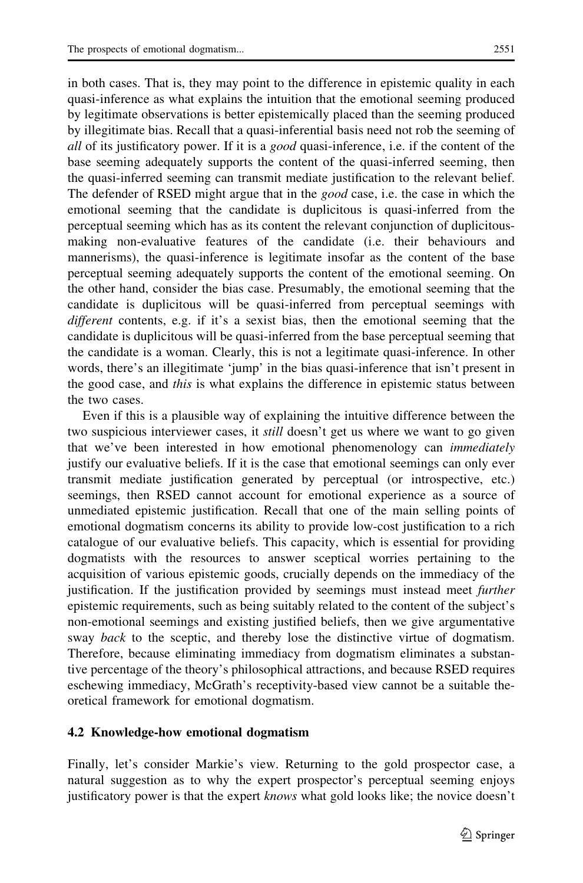in both cases. That is, they may point to the difference in epistemic quality in each quasi-inference as what explains the intuition that the emotional seeming produced by legitimate observations is better epistemically placed than the seeming produced by illegitimate bias. Recall that a quasi-inferential basis need not rob the seeming of all of its justificatory power. If it is a good quasi-inference, i.e. if the content of the base seeming adequately supports the content of the quasi-inferred seeming, then the quasi-inferred seeming can transmit mediate justification to the relevant belief. The defender of RSED might argue that in the *good* case, i.e. the case in which the emotional seeming that the candidate is duplicitous is quasi-inferred from the perceptual seeming which has as its content the relevant conjunction of duplicitousmaking non-evaluative features of the candidate (i.e. their behaviours and mannerisms), the quasi-inference is legitimate insofar as the content of the base perceptual seeming adequately supports the content of the emotional seeming. On the other hand, consider the bias case. Presumably, the emotional seeming that the candidate is duplicitous will be quasi-inferred from perceptual seemings with different contents, e.g. if it's a sexist bias, then the emotional seeming that the candidate is duplicitous will be quasi-inferred from the base perceptual seeming that the candidate is a woman. Clearly, this is not a legitimate quasi-inference. In other words, there's an illegitimate 'jump' in the bias quasi-inference that isn't present in the good case, and *this* is what explains the difference in epistemic status between the two cases.

Even if this is a plausible way of explaining the intuitive difference between the two suspicious interviewer cases, it *still* doesn't get us where we want to go given that we've been interested in how emotional phenomenology can *immediately* justify our evaluative beliefs. If it is the case that emotional seemings can only ever transmit mediate justification generated by perceptual (or introspective, etc.) seemings, then RSED cannot account for emotional experience as a source of unmediated epistemic justification. Recall that one of the main selling points of emotional dogmatism concerns its ability to provide low-cost justification to a rich catalogue of our evaluative beliefs. This capacity, which is essential for providing dogmatists with the resources to answer sceptical worries pertaining to the acquisition of various epistemic goods, crucially depends on the immediacy of the justification. If the justification provided by seemings must instead meet *further* epistemic requirements, such as being suitably related to the content of the subject's non-emotional seemings and existing justified beliefs, then we give argumentative sway *back* to the sceptic, and thereby lose the distinctive virtue of dogmatism. Therefore, because eliminating immediacy from dogmatism eliminates a substantive percentage of the theory's philosophical attractions, and because RSED requires eschewing immediacy, McGrath's receptivity-based view cannot be a suitable theoretical framework for emotional dogmatism.

## 4.2 Knowledge-how emotional dogmatism

Finally, let's consider Markie's view. Returning to the gold prospector case, a natural suggestion as to why the expert prospector's perceptual seeming enjoys justificatory power is that the expert knows what gold looks like; the novice doesn't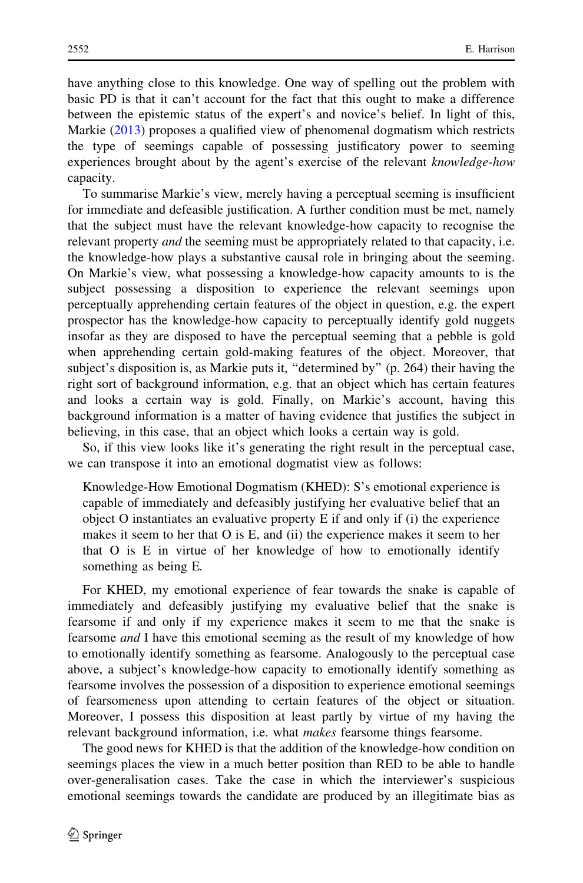have anything close to this knowledge. One way of spelling out the problem with basic PD is that it can't account for the fact that this ought to make a difference between the epistemic status of the expert's and novice's belief. In light of this, Markie [\(2013](#page-20-0)) proposes a qualified view of phenomenal dogmatism which restricts the type of seemings capable of possessing justificatory power to seeming experiences brought about by the agent's exercise of the relevant knowledge-how capacity.

To summarise Markie's view, merely having a perceptual seeming is insufficient for immediate and defeasible justification. A further condition must be met, namely that the subject must have the relevant knowledge-how capacity to recognise the relevant property *and* the seeming must be appropriately related to that capacity, i.e. the knowledge-how plays a substantive causal role in bringing about the seeming. On Markie's view, what possessing a knowledge-how capacity amounts to is the subject possessing a disposition to experience the relevant seemings upon perceptually apprehending certain features of the object in question, e.g. the expert prospector has the knowledge-how capacity to perceptually identify gold nuggets insofar as they are disposed to have the perceptual seeming that a pebble is gold when apprehending certain gold-making features of the object. Moreover, that subject's disposition is, as Markie puts it, ''determined by'' (p. 264) their having the right sort of background information, e.g. that an object which has certain features and looks a certain way is gold. Finally, on Markie's account, having this background information is a matter of having evidence that justifies the subject in believing, in this case, that an object which looks a certain way is gold.

So, if this view looks like it's generating the right result in the perceptual case, we can transpose it into an emotional dogmatist view as follows:

Knowledge-How Emotional Dogmatism (KHED): S's emotional experience is capable of immediately and defeasibly justifying her evaluative belief that an object O instantiates an evaluative property E if and only if (i) the experience makes it seem to her that O is E, and (ii) the experience makes it seem to her that O is E in virtue of her knowledge of how to emotionally identify something as being E.

For KHED, my emotional experience of fear towards the snake is capable of immediately and defeasibly justifying my evaluative belief that the snake is fearsome if and only if my experience makes it seem to me that the snake is fearsome and I have this emotional seeming as the result of my knowledge of how to emotionally identify something as fearsome. Analogously to the perceptual case above, a subject's knowledge-how capacity to emotionally identify something as fearsome involves the possession of a disposition to experience emotional seemings of fearsomeness upon attending to certain features of the object or situation. Moreover, I possess this disposition at least partly by virtue of my having the relevant background information, i.e. what makes fearsome things fearsome.

The good news for KHED is that the addition of the knowledge-how condition on seemings places the view in a much better position than RED to be able to handle over-generalisation cases. Take the case in which the interviewer's suspicious emotional seemings towards the candidate are produced by an illegitimate bias as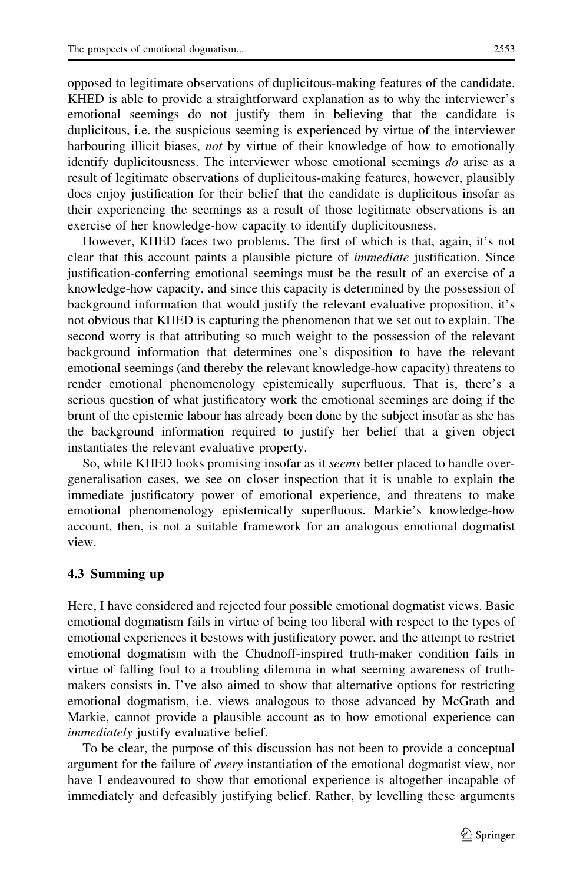opposed to legitimate observations of duplicitous-making features of the candidate. KHED is able to provide a straightforward explanation as to why the interviewer's emotional seemings do not justify them in believing that the candidate is duplicitous, i.e. the suspicious seeming is experienced by virtue of the interviewer harbouring illicit biases, not by virtue of their knowledge of how to emotionally identify duplicitousness. The interviewer whose emotional seemings do arise as a result of legitimate observations of duplicitous-making features, however, plausibly does enjoy justification for their belief that the candidate is duplicitous insofar as their experiencing the seemings as a result of those legitimate observations is an exercise of her knowledge-how capacity to identify duplicitousness.

However, KHED faces two problems. The first of which is that, again, it's not clear that this account paints a plausible picture of immediate justification. Since justification-conferring emotional seemings must be the result of an exercise of a knowledge-how capacity, and since this capacity is determined by the possession of background information that would justify the relevant evaluative proposition, it's not obvious that KHED is capturing the phenomenon that we set out to explain. The second worry is that attributing so much weight to the possession of the relevant background information that determines one's disposition to have the relevant emotional seemings (and thereby the relevant knowledge-how capacity) threatens to render emotional phenomenology epistemically superfluous. That is, there's a serious question of what justificatory work the emotional seemings are doing if the brunt of the epistemic labour has already been done by the subject insofar as she has the background information required to justify her belief that a given object instantiates the relevant evaluative property.

So, while KHED looks promising insofar as it seems better placed to handle overgeneralisation cases, we see on closer inspection that it is unable to explain the immediate justificatory power of emotional experience, and threatens to make emotional phenomenology epistemically superfluous. Markie's knowledge-how account, then, is not a suitable framework for an analogous emotional dogmatist view.

## 4.3 Summing up

Here, I have considered and rejected four possible emotional dogmatist views. Basic emotional dogmatism fails in virtue of being too liberal with respect to the types of emotional experiences it bestows with justificatory power, and the attempt to restrict emotional dogmatism with the Chudnoff-inspired truth-maker condition fails in virtue of falling foul to a troubling dilemma in what seeming awareness of truthmakers consists in. I've also aimed to show that alternative options for restricting emotional dogmatism, i.e. views analogous to those advanced by McGrath and Markie, cannot provide a plausible account as to how emotional experience can immediately justify evaluative belief.

To be clear, the purpose of this discussion has not been to provide a conceptual argument for the failure of every instantiation of the emotional dogmatist view, nor have I endeavoured to show that emotional experience is altogether incapable of immediately and defeasibly justifying belief. Rather, by levelling these arguments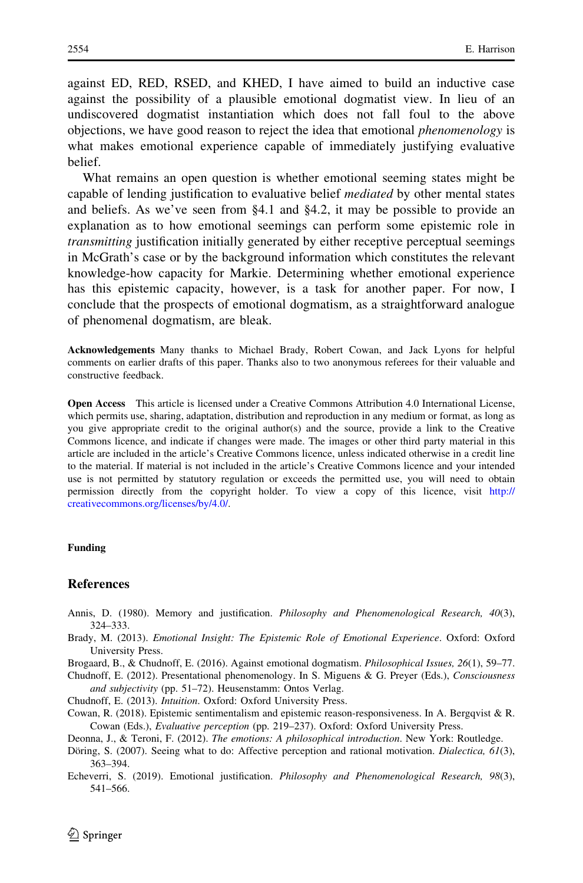<span id="page-19-0"></span>against ED, RED, RSED, and KHED, I have aimed to build an inductive case against the possibility of a plausible emotional dogmatist view. In lieu of an undiscovered dogmatist instantiation which does not fall foul to the above objections, we have good reason to reject the idea that emotional phenomenology is what makes emotional experience capable of immediately justifying evaluative belief.

What remains an open question is whether emotional seeming states might be capable of lending justification to evaluative belief mediated by other mental states and beliefs. As we've seen from §4.1 and §4.2, it may be possible to provide an explanation as to how emotional seemings can perform some epistemic role in transmitting justification initially generated by either receptive perceptual seemings in McGrath's case or by the background information which constitutes the relevant knowledge-how capacity for Markie. Determining whether emotional experience has this epistemic capacity, however, is a task for another paper. For now, I conclude that the prospects of emotional dogmatism, as a straightforward analogue of phenomenal dogmatism, are bleak.

Acknowledgements Many thanks to Michael Brady, Robert Cowan, and Jack Lyons for helpful comments on earlier drafts of this paper. Thanks also to two anonymous referees for their valuable and constructive feedback.

Open Access This article is licensed under a Creative Commons Attribution 4.0 International License, which permits use, sharing, adaptation, distribution and reproduction in any medium or format, as long as you give appropriate credit to the original author(s) and the source, provide a link to the Creative Commons licence, and indicate if changes were made. The images or other third party material in this article are included in the article's Creative Commons licence, unless indicated otherwise in a credit line to the material. If material is not included in the article's Creative Commons licence and your intended use is not permitted by statutory regulation or exceeds the permitted use, you will need to obtain permission directly from the copyright holder. To view a copy of this licence, visit [http://](http://creativecommons.org/licenses/by/4.0/) [creativecommons.org/licenses/by/4.0/.](http://creativecommons.org/licenses/by/4.0/)

#### Funding

#### **References**

- Annis, D. (1980). Memory and justification. Philosophy and Phenomenological Research, 40(3), 324–333.
- Brady, M. (2013). Emotional Insight: The Epistemic Role of Emotional Experience. Oxford: Oxford University Press.
- Brogaard, B., & Chudnoff, E. (2016). Against emotional dogmatism. Philosophical Issues, 26(1), 59–77.

Chudnoff, E. (2012). Presentational phenomenology. In S. Miguens & G. Preyer (Eds.), Consciousness and subjectivity (pp. 51–72). Heusenstamm: Ontos Verlag.

- Chudnoff, E. (2013). Intuition. Oxford: Oxford University Press.
- Cowan, R. (2018). Epistemic sentimentalism and epistemic reason-responsiveness. In A. Bergqvist & R. Cowan (Eds.), Evaluative perception (pp. 219–237). Oxford: Oxford University Press.

Deonna, J., & Teroni, F. (2012). The emotions: A philosophical introduction. New York: Routledge.

- Döring, S. (2007). Seeing what to do: Affective perception and rational motivation. Dialectica, 61(3), 363–394.
- Echeverri, S. (2019). Emotional justification. Philosophy and Phenomenological Research, 98(3), 541–566.